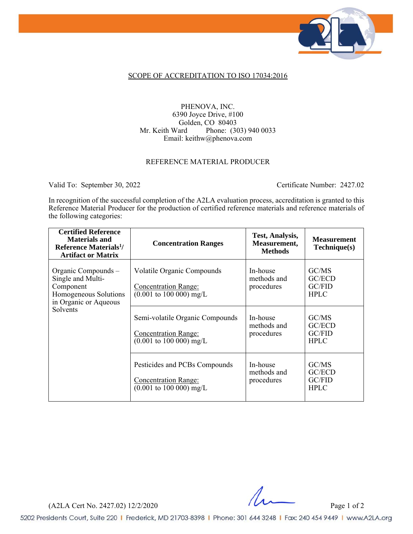

#### SCOPE OF ACCREDITATION TO ISO 17034:2016

### PHENOVA, INC. 6390 Joyce Drive, #100 Golden, CO 80403<br>Mr. Keith Ward Phone: (30 Phone: (303) 940 0033 Email: keithw@phenova.com

#### REFERENCE MATERIAL PRODUCER

Valid To: September 30, 2022 Certificate Number: 2427.02

In recognition of the successful completion of the A2LA evaluation process, accreditation is granted to this Reference Material Producer for the production of certified reference materials and reference materials of the following categories:

| <b>Certified Reference</b><br><b>Materials and</b><br>Reference Materials <sup>1</sup> /<br><b>Artifact or Matrix</b> | <b>Concentration Ranges</b>                                                                                     | Test, Analysis,<br>Measurement,<br><b>Methods</b> | <b>Measurement</b><br>Technique(s)       |
|-----------------------------------------------------------------------------------------------------------------------|-----------------------------------------------------------------------------------------------------------------|---------------------------------------------------|------------------------------------------|
| Organic Compounds -<br>Single and Multi-<br>Component<br>Homogeneous Solutions<br>in Organic or Aqueous<br>Solvents   | Volatile Organic Compounds<br><b>Concentration Range:</b><br>$(0.001 \text{ to } 100 \text{ 000}) \text{ mg/L}$ | In-house<br>methods and<br>procedures             | GC/MS<br>GC/ECD<br>GC/FID<br><b>HPLC</b> |
|                                                                                                                       | Semi-volatile Organic Compounds<br>Concentration Range:<br>$(0.001 \text{ to } 100 \text{ 000}) \text{ mg/L}$   | In-house<br>methods and<br>procedures             | GC/MS<br>GC/ECD<br>GC/FID<br><b>HPLC</b> |
|                                                                                                                       | Pesticides and PCBs Compounds<br>Concentration Range:<br>$(0.001 \text{ to } 100 \text{ 000}) \text{ mg/L}$     | In-house<br>methods and<br>procedures             | GC/MS<br>GC/ECD<br>GC/FlD<br><b>HPLC</b> |

(A2LA Cert No. 2427.02) 12/2/2020 Page 1 of 2

 $\frac{1}{2}$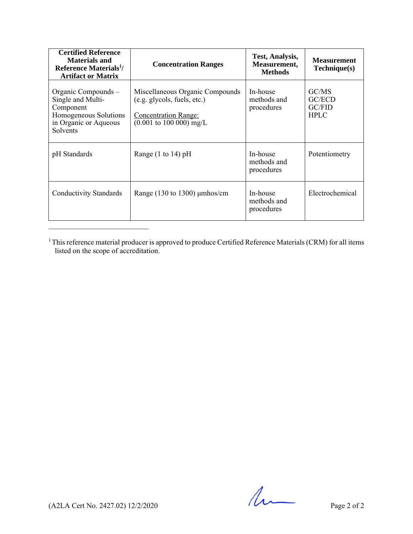| <b>Certified Reference</b><br><b>Materials and</b><br>Reference Materials <sup>1</sup> /<br><b>Artifact or Matrix</b>      | <b>Concentration Ranges</b>                                                                                                                         | Test, Analysis,<br>Measurement,<br><b>Methods</b> | <b>Measurement</b><br>Technique(s)       |
|----------------------------------------------------------------------------------------------------------------------------|-----------------------------------------------------------------------------------------------------------------------------------------------------|---------------------------------------------------|------------------------------------------|
| Organic Compounds –<br>Single and Multi-<br>Component<br>Homogeneous Solutions<br>in Organic or Aqueous<br><b>Solvents</b> | Miscellaneous Organic Compounds<br>(e.g. glycols, fuels, etc.)<br><b>Concentration Range:</b><br>$(0.001 \text{ to } 100 \text{ 000}) \text{ mg/L}$ | In-house<br>methods and<br>procedures             | GC/MS<br>GC/ECD<br>GC/FID<br><b>HPLC</b> |
| pH Standards                                                                                                               | Range $(1 \text{ to } 14)$ pH                                                                                                                       | In-house<br>methods and<br>procedures             | Potentiometry                            |
| Conductivity Standards                                                                                                     | Range $(130 \text{ to } 1300)$ µmhos/cm                                                                                                             | In-house<br>methods and<br>procedures             | Electrochemical                          |

 $1$ This reference material producer is approved to produce Certified Reference Materials (CRM) for all items listed on the scope of accreditation.

 $(42LA$  Cert No. 2427.02) 12/2/2020 Page 2 of 2